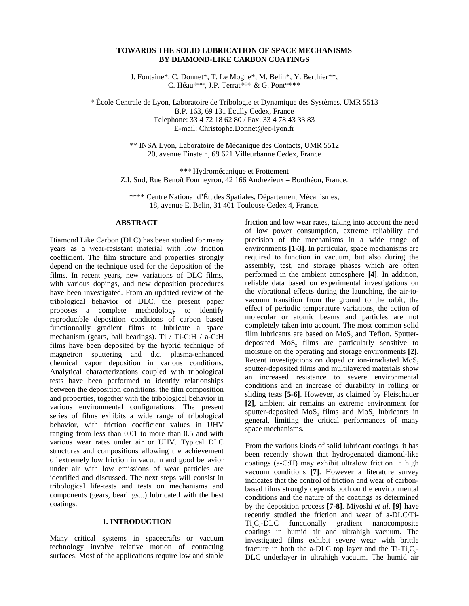## **TOWARDS THE SOLID LUBRICATION OF SPACE MECHANISMS BY DIAMOND-LIKE CARBON COATINGS**

J. Fontaine\*, C. Donnet\*, T. Le Mogne\*, M. Belin\*, Y. Berthier\*\*, C. Héau\*\*\*, J.P. Terrat\*\*\* & G. Pont\*\*\*\*

\* École Centrale de Lyon, Laboratoire de Tribologie et Dynamique des Systèmes, UMR 5513 B.P. 163, 69 131 Écully Cedex, France Telephone: 33 4 72 18 62 80 / Fax: 33 4 78 43 33 83 E-mail: Christophe.Donnet@ec-lyon.fr

> \*\* INSA Lyon, Laboratoire de Mécanique des Contacts, UMR 5512 20, avenue Einstein, 69 621 Villeurbanne Cedex, France

\*\*\* Hydromécanique et Frottement Z.I. Sud, Rue Benoît Fourneyron, 42 166 Andrézieux – Bouthéon, France.

\*\*\*\* Centre National d'Études Spatiales, Département Mécanismes, 18, avenue E. Belin, 31 401 Toulouse Cedex 4, France.

# **ABSTRACT**

Diamond Like Carbon (DLC) has been studied for many years as a wear-resistant material with low friction coefficient. The film structure and properties strongly depend on the technique used for the deposition of the films. In recent years, new variations of DLC films, with various dopings, and new deposition procedures have been investigated. From an updated review of the tribological behavior of DLC, the present paper proposes a complete methodology to identify reproducible deposition conditions of carbon based functionnally gradient films to lubricate a space mechanism (gears, ball bearings). Ti / Ti-C:H / a-C:H films have been deposited by the hybrid technique of magnetron sputtering and d.c. plasma-enhanced chemical vapor deposition in various conditions. Analytical characterizations coupled with tribological tests have been performed to identify relationships between the deposition conditions, the film composition and properties, together with the tribological behavior in various environmental configurations. The present series of films exhibits a wide range of tribological behavior, with friction coefficient values in UHV ranging from less than 0.01 to more than 0.5 and with various wear rates under air or UHV. Typical DLC structures and compositions allowing the achievement of extremely low friction in vacuum and good behavior under air with low emissions of wear particles are identified and discussed. The next steps will consist in tribological life-tests and tests on mechanisms and components (gears, bearings...) lubricated with the best coatings.

### **1. INTRODUCTION**

Many critical systems in spacecrafts or vacuum technology involve relative motion of contacting surfaces. Most of the applications require low and stable

friction and low wear rates, taking into account the need of low power consumption, extreme reliability and precision of the mechanisms in a wide range of environments **[1-3]**. In particular, space mechanisms are required to function in vacuum, but also during the assembly, test, and storage phases which are often performed in the ambient atmosphere **[4]**. In addition, reliable data based on experimental investigations on the vibrational effects during the launching, the air-tovacuum transition from the ground to the orbit, the effect of periodic temperature variations, the action of molecular or atomic beams and particles are not completely taken into account. The most common solid film lubricants are based on MoS, and Teflon. Sputterdeposited MoS, films are particularly sensitive to moisture on the operating and storage environments **[2]**. Recent investigations on doped or ion-irradiated MoS, sputter-deposited films and multilayered materials show an increased resistance to severe environmental conditions and an increase of durability in rolling or sliding tests **[5-6]**. However, as claimed by Fleischauer **[2]**, ambient air remains an extreme environment for sputter-deposited MoS, films and MoS, lubricants in general, limiting the critical performances of many space mechanisms.

From the various kinds of solid lubricant coatings, it has been recently shown that hydrogenated diamond-like coatings (a-C:H) may exhibit ultralow friction in high vacuum conditions **[7]**. However a literature survey indicates that the control of friction and wear of carbonbased films strongly depends both on the environmental conditions and the nature of the coatings as determined by the deposition process **[7-8]**. Miyoshi *et al.* **[9]** have recently studied the friction and wear of a-DLC/Ti-Ti<sub>c</sub>C<sub>-</sub>DLC functionally gradient nanocomposite coatings in humid air and ultrahigh vacuum. The investigated films exhibit severe wear with brittle fracture in both the a-DLC top layer and the  $Ti-Ti.C.$ -DLC underlayer in ultrahigh vacuum. The humid air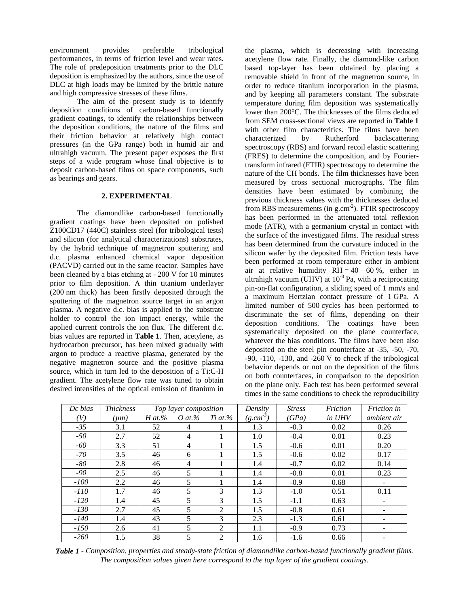environment provides preferable tribological performances, in terms of friction level and wear rates. The role of predeposition treatments prior to the DLC deposition is emphasized by the authors, since the use of DLC at high loads may be limited by the brittle nature and high compressive stresses of these films.

The aim of the present study is to identify deposition conditions of carbon-based functionally gradient coatings, to identify the relationships between the deposition conditions, the nature of the films and their friction behavior at relatively high contact pressures (in the GPa range) both in humid air and ultrahigh vacuum. The present paper exposes the first steps of a wide program whose final objective is to deposit carbon-based films on space components, such as bearings and gears.

## **2. EXPERIMENTAL**

The diamondlike carbon-based functionally gradient coatings have been deposited on polished Z100CD17 (440C) stainless steel (for tribological tests) and silicon (for analytical characterizations) substrates, by the hybrid technique of magnetron sputtering and d.c. plasma enhanced chemical vapor deposition (PACVD) carried out in the same reactor. Samples have been cleaned by a bias etching at - 200 V for 10 minutes prior to film deposition. A thin titanium underlayer (200 nm thick) has been firstly deposited through the sputtering of the magnetron source target in an argon plasma. A negative d.c. bias is applied to the substrate holder to control the ion impact energy, while the applied current controls the ion flux. The different d.c. bias values are reported in **Table 1**. Then, acetylene, as hydrocarbon precursor, has been mixed gradually with argon to produce a reactive plasma, generated by the negative magnetron source and the positive plasma source, which in turn led to the deposition of a Ti:C-H gradient. The acetylene flow rate was tuned to obtain desired intensities of the optical emission of titanium in

the plasma, which is decreasing with increasing acetylene flow rate. Finally, the diamond-like carbon based top-layer has been obtained by placing a removable shield in front of the magnetron source, in order to reduce titanium incorporation in the plasma, and by keeping all parameters constant. The substrate temperature during film deposition was systematically lower than 200°C. The thicknesses of the films deduced from SEM cross-sectional views are reported in **Table 1** with other film characteritics. The films have been characterized by Rutherford backscattering spectroscopy (RBS) and forward recoil elastic scattering (FRES) to determine the composition, and by Fouriertransform infrared (FTIR) spectroscopy to determine the nature of the CH bonds. The film thicknesses have been measured by cross sectional micrographs. The film densities have been estimated by combining the previous thickness values with the thicknesses deduced from RBS measurements (in  $g.cm^{-2}$ ). FTIR spectroscopy has been performed in the attenuated total reflexion mode (ATR), with a germanium crystal in contact with the surface of the investigated films. The residual stress has been determined from the curvature induced in the silicon wafer by the deposited film. Friction tests have been performed at room temperature either in ambient air at relative humidity  $RH = 40 - 60$ %, either in ultrahigh vacuum (UHV) at  $10^{-8}$  Pa, with a reciprocating pin-on-flat configuration, a sliding speed of 1 mm/s and a maximum Hertzian contact pressure of 1 GPa. A limited number of 500 cycles has been performed to discriminate the set of films, depending on their deposition conditions. The coatings have been systematically deposited on the plane counterface, whatever the bias conditions. The films have been also deposited on the steel pin counterface at -35, -50, -70,  $-90$ ,  $-110$ ,  $-130$ , and  $-260$  V to check if the tribological behavior depends or not on the deposition of the films on both counterfaces, in comparison to the deposition on the plane only. Each test has been performed several times in the same conditions to check the reproducibility

| Dc bias | <b>Thickness</b> | Top layer composition |                |                | Density       | <b>Stress</b> | Friction | Friction in |
|---------|------------------|-----------------------|----------------|----------------|---------------|---------------|----------|-------------|
| V)      | $(\mu m)$        | $H$ at.%              | O at.%         | $Ti$ at $\%$   | $(g.cm^{-3})$ | (GPa)         | in UHV   | ambient air |
| $-35$   | 3.1              | 52                    | 4              |                | 1.3           | $-0.3$        | 0.02     | 0.26        |
| $-50$   | 2.7              | 52                    | $\overline{4}$ |                | 1.0           | $-0.4$        | 0.01     | 0.23        |
| $-60$   | 3.3              | 51                    | 4              |                | 1.5           | $-0.6$        | 0.01     | 0.20        |
| $-70$   | 3.5              | 46                    | 6              |                | 1.5           | $-0.6$        | 0.02     | 0.17        |
| $-80$   | 2.8              | 46                    | 4              |                | 1.4           | $-0.7$        | 0.02     | 0.14        |
| $-90$   | 2.5              | 46                    | 5.             |                | 1.4           | $-0.8$        | 0.01     | 0.23        |
| $-100$  | 2.2              | 46                    | 5              |                | 1.4           | $-0.9$        | 0.68     |             |
| $-110$  | 1.7              | 46                    | 5              | 3              | 1.3           | $-1.0$        | 0.51     | 0.11        |
| $-120$  | 1.4              | 45                    | 5              | $\mathcal{R}$  | 1.5           | $-1.1$        | 0.63     |             |
| $-130$  | 2.7              | 45                    | 5              | $\mathfrak{D}$ | 1.5           | $-0.8$        | 0.61     |             |
| $-140$  | 1.4              | 43                    | 5              | 3              | 2.3           | $-1.3$        | 0.61     |             |
| $-150$  | 2.6              | 41                    | 5              | 2              | 1.1           | $-0.9$        | 0.73     |             |
| $-260$  | 1.5              | 38                    | 5              | $\overline{2}$ | 1.6           | $-1.6$        | 0.66     |             |

*Table 1 - Composition, properties and steady-state friction of diamondlike carbon-based functionally gradient films. The composition values given here correspond to the top layer of the gradient coatings.*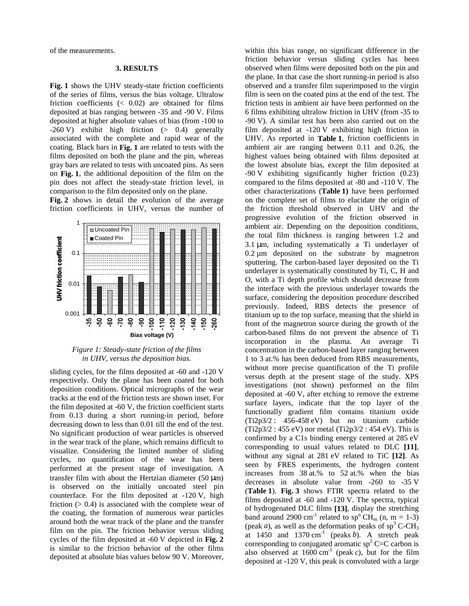of the measurements.

#### **3. RESULTS**

**Fig. 1** shows the UHV steady-state friction coefficients of the series of films, versus the bias voltage. Ultralow friction coefficients  $\langle 0.02 \rangle$  are obtained for films deposited at bias ranging between -35 and -90 V. Films deposited at higher absolute values of bias (from -100 to -260 V) exhibit high friction (> 0.4) generally associated with the complete and rapid wear of the coating. Black bars in **Fig. 1** are related to tests with the films deposited on both the plane and the pin, whereas gray bars are related to tests with uncoated pins. As seen on **Fig. 1**, the additional deposition of the film on the pin does not affect the steady-state friction level, in comparison to the film deposited only on the plane.

**Fig. 2** shows in detail the evolution of the average friction coefficients in UHV, versus the number of



*Figure 1: Steady-state friction of the films in UHV, versus the deposition bias.*

sliding cycles, for the films deposited at -60 and -120 V respectively. Only the plane has been coated for both deposition conditions. Optical micrographs of the wear tracks at the end of the friction tests are shown inset. For the film deposited at -60 V, the friction coefficient starts from 0.13 during a short running-in period, before decreasing down to less than 0.01 till the end of the test. No significant production of wear particles is observed in the wear track of the plane, which remains difficult to visualize. Considering the limited number of sliding cycles, no quantification of the wear has been performed at the present stage of investigation. A transfer film with about the Hertzian diameter  $(50 \mu m)$ is observed on the initially uncoated steel pin counterface. For the film deposited at -120 V, high friction  $(> 0.4)$  is associated with the complete wear of the coating, the formation of numerous wear particles around both the wear track of the plane and the transfer film on the pin. The friction behavior versus sliding cycles of the film deposited at -60 V depicted in **Fig. 2** is similar to the friction behavior of the other films deposited at absolute bias values below 90 V. Moreover,

within this bias range, no significant difference in the friction behavior versus sliding cycles has been observed when films were deposited both on the pin and the plane. In that case the short running-in period is also observed and a transfer film superimposed to the virgin film is seen on the coated pins at the end of the test. The friction tests in ambient air have been performed on the 6 films exhibiting ultralow friction in UHV (from -35 to -90 V). A similar test has been also carried out on the film deposited at -120 V exhibiting high friction in UHV. As reported in **Table 1**, friction coefficients in ambient air are ranging between 0.11 and 0.26, the highest values being obtained with films deposited at the lowest absolute bias, except the film deposited at -90 V exhibiting significantly higher friction (0.23) compared to the films deposited at -80 and -110 V. The other characterizations (**Table 1)** have been performed on the complete set of films to elucidate the origin of the friction threshold observed in UHV and the progressive evolution of the friction observed in ambient air. Depending on the deposition conditions, the total film thickness is ranging between 1.2 and  $3.1 \mu m$ , including systematically a Ti underlayer of  $0.2 \mu m$  deposited on the substrate by magnetron sputtering. The carbon-based layer deposited on the Ti underlayer is systematically constituted by Ti, C, H and O, with a Ti depth profile which should decrease from the interface with the previous underlayer towards the surface, considering the deposition procedure described previously. Indeed, RBS detects the presence of titanium up to the top surface, meaning that the shield in front of the magnetron source during the growth of the carbon-based films do not prevent the absence of Ti incorporation in the plasma. An average Ti concentration in the carbon-based layer ranging between 1 to 3 at.% has been deduced from RBS measurements, without more precise quantification of the Ti profile versus depth at the present stage of the study. XPS investigations (not shown) performed on the film deposited at -60 V, after etching to remove the extreme surface layers, indicate that the top layer of the functionally gradient film contains titanium oxide (Ti2p3/2 : 456-458 eV) but no titanium carbide  $(Ti2p3/2 : 455 eV)$  nor metal  $(Ti2p3/2 : 454 eV)$ . This is confirmed by a C1s binding energy centered at 285 eV corresponding to usual values related to DLC **[11]**, without any signal at 281 eV related to TiC **[12]**. As seen by FRES experiments, the hydrogen content increases from 38 at.% to 52 at.% when the bias decreases in absolute value from -260 to -35 V (**Table 1**). **Fig. 3** shows FTIR spectra related to the films deposited at -60 and -120 V. The spectra, typical of hydrogenated DLC films **[13]**, display the stretching band around 2900 cm<sup>-1</sup> related to sp<sup>n</sup> CH<sub>m</sub> (n, m = 1-3) (peak *a*), as well as the deformation peaks of  $sp<sup>3</sup>$  C-CH<sub>3</sub> at  $1450$  and  $1370 \text{ cm}^{-1}$  (peaks *b*). A stretch peak corresponding to conjugated aromatic  $sp^2$  C=C carbon is also observed at  $1600 \text{ cm}^{-1}$  (peak *c*), but for the film deposited at -120 V, this peak is convoluted with a large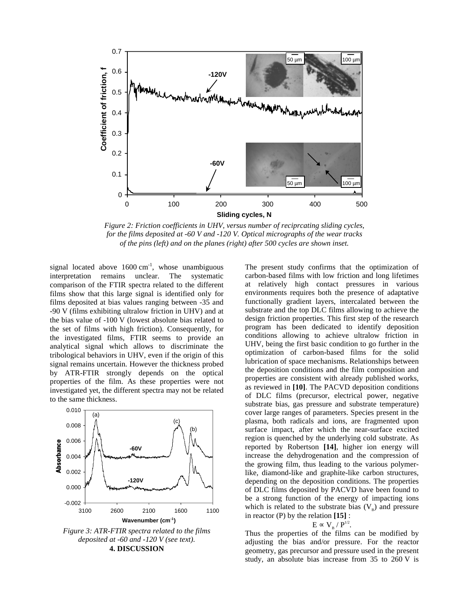

*Figure 2: Friction coefficients in UHV, versus number of reciprcating sliding cycles, for the films deposited at -60 V and -120 V. Optical micrographs of the wear tracks of the pins (left) and on the planes (right) after 500 cycles are shown inset.*

signal located above  $1600 \text{ cm}^{-1}$ , whose unambiguous interpretation remains unclear. The systematic comparison of the FTIR spectra related to the different films show that this large signal is identified only for films deposited at bias values ranging between -35 and -90 V (films exhibiting ultralow friction in UHV) and at the bias value of -100 V (lowest absolute bias related to the set of films with high friction). Consequently, for the investigated films, FTIR seems to provide an analytical signal which allows to discriminate the tribological behaviors in UHV, even if the origin of this signal remains uncertain. However the thickness probed by ATR-FTIR strongly depends on the optical properties of the film. As these properties were not investigated yet, the different spectra may not be related to the same thickness.



*deposited at -60 and -120 V (see text).* **4. DISCUSSION**

The present study confirms that the optimization of carbon-based films with low friction and long lifetimes at relatively high contact pressures in various environments requires both the presence of adaptative functionally gradient layers, intercalated between the substrate and the top DLC films allowing to achieve the design friction properties. This first step of the research program has been dedicated to identify deposition conditions allowing to achieve ultralow friction in UHV, being the first basic condition to go further in the optimization of carbon-based films for the solid lubrication of space mechanisms. Relationships between the deposition conditions and the film composition and properties are consistent with already published works, as reviewed in **[10]**. The PACVD deposition conditions of DLC films (precursor, electrical power, negative substrate bias, gas pressure and substrate temperature) cover large ranges of parameters. Species present in the plasma, both radicals and ions, are fragmented upon surface impact, after which the near-surface excited region is quenched by the underlying cold substrate. As reported by Robertson **[14]**, higher ion energy will increase the dehydrogenation and the compression of the growing film, thus leading to the various polymerlike, diamond-like and graphite-like carbon structures, depending on the deposition conditions. The properties of DLC films deposited by PACVD have been found to be a strong function of the energy of impacting ions which is related to the substrate bias  $(V_p)$  and pressure in reactor (P) by the relation **[15]** :

$$
E \propto V_{\rm B} / P^{1/2}.
$$

Thus the properties of the films can be modified by adjusting the bias and/or pressure. For the reactor geometry, gas precursor and pressure used in the present study, an absolute bias increase from 35 to 260 V is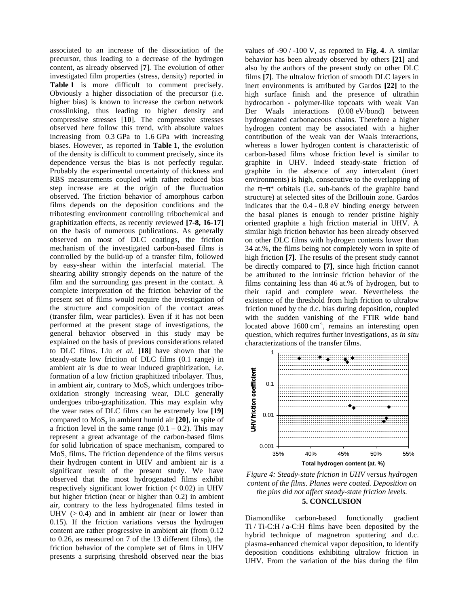associated to an increase of the dissociation of the precursor, thus leading to a decrease of the hydrogen content, as already observed [**7**]. The evolution of other investigated film properties (stress, density) reported in Table 1 is more difficult to comment precisely. Obviously a higher dissociation of the precursor (i.e. higher bias) is known to increase the carbon network crosslinking, thus leading to higher density and compressive stresses [**10**]. The compressive stresses observed here follow this trend, with absolute values increasing from 0.3 GPa to 1.6 GPa with increasing biases. However, as reported in **Table 1**, the evolution of the density is difficult to comment precisely, since its dependence versus the bias is not perfectly regular. Probably the experimental uncertainty of thickness and RBS measurements coupled with rather reduced bias step increase are at the origin of the fluctuation observed. The friction behavior of amorphous carbon films depends on the deposition conditions and the tribotesting environment controlling tribochemical and graphitization effects, as recently reviewed **[7-8, 16-17]** on the basis of numerous publications. As generally observed on most of DLC coatings, the friction mechanism of the investigated carbon-based films is controlled by the build-up of a transfer film, followed by easy-shear within the interfacial material. The shearing ability strongly depends on the nature of the film and the surrounding gas present in the contact. A complete interpretation of the friction behavior of the present set of films would require the investigation of the structure and composition of the contact areas (transfer film, wear particles). Even if it has not been performed at the present stage of investigations, the general behavior observed in this study may be explained on the basis of previous considerations related to DLC films. Liu *et al.* **[18]** have shown that the steady-state low friction of DLC films (0.1 range) in ambient air is due to wear induced graphitization, *i.e.* formation of a low friction graphitized tribolayer. Thus, in ambient air, contrary to MoS, which undergoes tribooxidation strongly increasing wear, DLC generally undergoes tribo-graphitization. This may explain why the wear rates of DLC films can be extremely low **[19]** compared to MoS<sub>2</sub> in ambient humid air [20], in spite of a friction level in the same range  $(0.1 - 0.2)$ . This may represent a great advantage of the carbon-based films for solid lubrication of space mechanism, compared to MoS, films. The friction dependence of the films versus their hydrogen content in UHV and ambient air is a significant result of the present study. We have observed that the most hydrogenated films exhibit respectively significant lower friction  $(< 0.02)$  in UHV but higher friction (near or higher than 0.2) in ambient air, contrary to the less hydrogenated films tested in UHV  $(> 0.4)$  and in ambient air (near or lower than 0.15). If the friction variations versus the hydrogen content are rather progressive in ambient air (from 0.12 to 0.26, as measured on 7 of the 13 different films), the friction behavior of the complete set of films in UHV presents a surprising threshold observed near the bias

values of -90 / -100 V, as reported in **Fig. 4**. A similar behavior has been already observed by others **[21]** and also by the authors of the present study on other DLC films **[7]**. The ultralow friction of smooth DLC layers in inert environments is attributed by Gardos **[22]** to the high surface finish and the presence of ultrathin hydrocarbon - polymer-like topcoats with weak Van Der Waals interactions (0.08 eV/bond) between hydrogenated carbonaceous chains. Therefore a higher hydrogen content may be associated with a higher contribution of the weak van der Waals interactions, whereas a lower hydrogen content is characteristic of carbon-based films whose friction level is similar to graphite in UHV. Indeed steady-state friction of graphite in the absence of any intercalant (inert environments) is high, consecutive to the overlapping of the  $\pi-\pi^*$  orbitals (i.e. sub-bands of the graphite band structure) at selected sites of the Brillouin zone. Gardos indicates that the 0.4 - 0.8 eV binding energy between the basal planes is enough to render pristine highly oriented graphite a high friction material in UHV. A similar high friction behavior has been already observed on other DLC films with hydrogen contents lower than 34 at.%, the films being not completely worn in spite of high friction **[7]**. The results of the present study cannot be directly compared to **[7]**, since high friction cannot be attributed to the intrinsic friction behavior of the films containing less than 46 at.% of hydrogen, but to their rapid and complete wear. Nevertheless the existence of the threshold from high friction to ultralow friction tuned by the d.c. bias during deposition, coupled with the sudden vanishing of the FTIR wide band located above  $1600 \text{ cm}^{-1}$ , remains an interesting open question, which requires further investigations, as *in situ* characterizations of the transfer films.



*Figure 4: Steady-state friction in UHV versus hydrogen content of the films. Planes were coated. Deposition on the pins did not affect steady-state friction levels.* **5. CONCLUSION**

Diamondlike carbon-based functionally gradient Ti / Ti-C:H / a-C:H films have been deposited by the hybrid technique of magnetron sputtering and d.c. plasma-enhanced chemical vapor deposition, to identify deposition conditions exhibiting ultralow friction in UHV. From the variation of the bias during the film